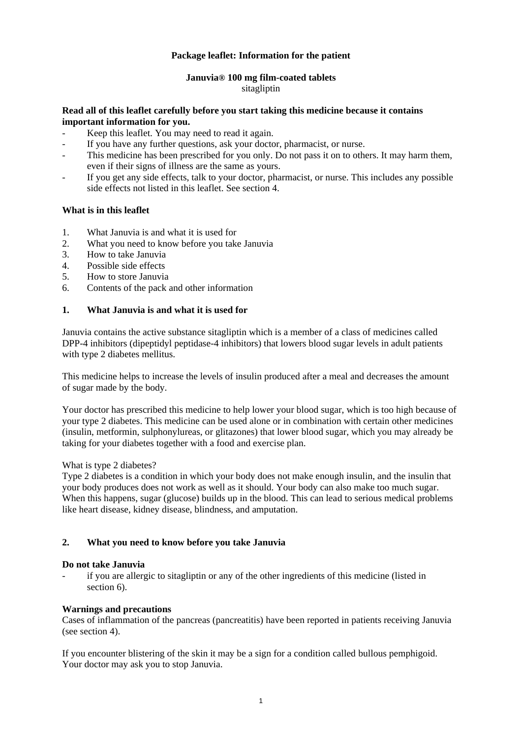# **Package leaflet: Information for the patient**

# **Januvia® 100 mg film-coated tablets**

# sitagliptin

### **Read all of this leaflet carefully before you start taking this medicine because it contains important information for you.**

- Keep this leaflet. You may need to read it again.
- If you have any further questions, ask your doctor, pharmacist, or nurse.
- This medicine has been prescribed for you only. Do not pass it on to others. It may harm them, even if their signs of illness are the same as yours.
- If you get any side effects, talk to your doctor, pharmacist, or nurse. This includes any possible side effects not listed in this leaflet. See section 4.

# **What is in this leaflet**

- 1. What Januvia is and what it is used for
- 2. What you need to know before you take Januvia
- 3. How to take Januvia
- 4. Possible side effects
- 5. How to store Januvia
- 6. Contents of the pack and other information

# **1. What Januvia is and what it is used for**

Januvia contains the active substance sitagliptin which is a member of a class of medicines called DPP-4 inhibitors (dipeptidyl peptidase-4 inhibitors) that lowers blood sugar levels in adult patients with type 2 diabetes mellitus.

This medicine helps to increase the levels of insulin produced after a meal and decreases the amount of sugar made by the body.

Your doctor has prescribed this medicine to help lower your blood sugar, which is too high because of your type 2 diabetes. This medicine can be used alone or in combination with certain other medicines (insulin, metformin, sulphonylureas, or glitazones) that lower blood sugar, which you may already be taking for your diabetes together with a food and exercise plan.

## What is type 2 diabetes?

Type 2 diabetes is a condition in which your body does not make enough insulin, and the insulin that your body produces does not work as well as it should. Your body can also make too much sugar. When this happens, sugar (glucose) builds up in the blood. This can lead to serious medical problems like heart disease, kidney disease, blindness, and amputation.

# **2. What you need to know before you take Januvia**

## **Do not take Januvia**

if you are allergic to sitagliptin or any of the other ingredients of this medicine (listed in section 6).

## **Warnings and precautions**

Cases of inflammation of the pancreas (pancreatitis) have been reported in patients receiving Januvia (see section 4).

If you encounter blistering of the skin it may be a sign for a condition called bullous pemphigoid. Your doctor may ask you to stop Januvia.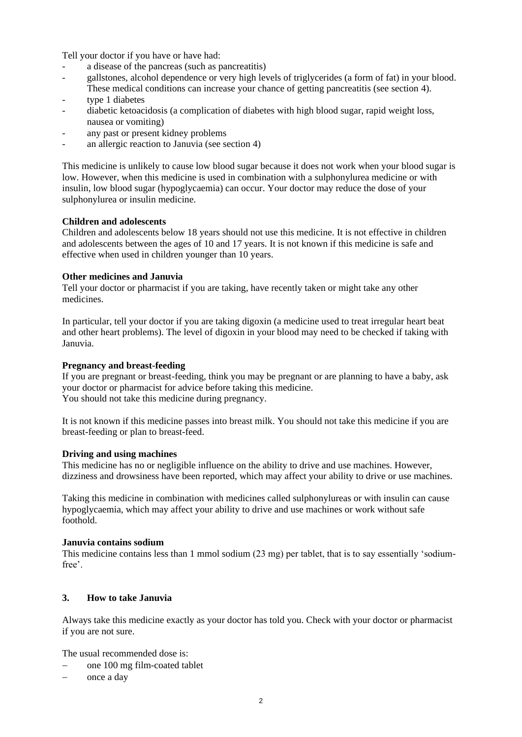Tell your doctor if you have or have had:

- a disease of the pancreas (such as pancreatitis)
- gallstones, alcohol dependence or very high levels of triglycerides (a form of fat) in your blood. These medical conditions can increase your chance of getting pancreatitis (see section 4).
- type 1 diabetes
- diabetic ketoacidosis (a complication of diabetes with high blood sugar, rapid weight loss, nausea or vomiting)
- any past or present kidney problems
- an allergic reaction to Januvia (see section 4)

This medicine is unlikely to cause low blood sugar because it does not work when your blood sugar is low. However, when this medicine is used in combination with a sulphonylurea medicine or with insulin, low blood sugar (hypoglycaemia) can occur. Your doctor may reduce the dose of your sulphonylurea or insulin medicine.

#### **Children and adolescents**

Children and adolescents below 18 years should not use this medicine. It is not effective in children and adolescents between the ages of 10 and 17 years. It is not known if this medicine is safe and effective when used in children younger than 10 years.

#### **Other medicines and Januvia**

Tell your doctor or pharmacist if you are taking, have recently taken or might take any other medicines.

In particular, tell your doctor if you are taking digoxin (a medicine used to treat irregular heart beat and other heart problems). The level of digoxin in your blood may need to be checked if taking with Januvia.

#### **Pregnancy and breast-feeding**

If you are pregnant or breast-feeding, think you may be pregnant or are planning to have a baby, ask your doctor or pharmacist for advice before taking this medicine. You should not take this medicine during pregnancy.

It is not known if this medicine passes into breast milk. You should not take this medicine if you are breast-feeding or plan to breast-feed.

#### **Driving and using machines**

This medicine has no or negligible influence on the ability to drive and use machines. However, dizziness and drowsiness have been reported, which may affect your ability to drive or use machines.

Taking this medicine in combination with medicines called sulphonylureas or with insulin can cause hypoglycaemia, which may affect your ability to drive and use machines or work without safe foothold.

#### **Januvia contains sodium**

This medicine contains less than 1 mmol sodium (23 mg) per tablet, that is to say essentially 'sodiumfree'.

## **3. How to take Januvia**

Always take this medicine exactly as your doctor has told you. Check with your doctor or pharmacist if you are not sure.

The usual recommended dose is:

- − one 100 mg film-coated tablet
- − once a day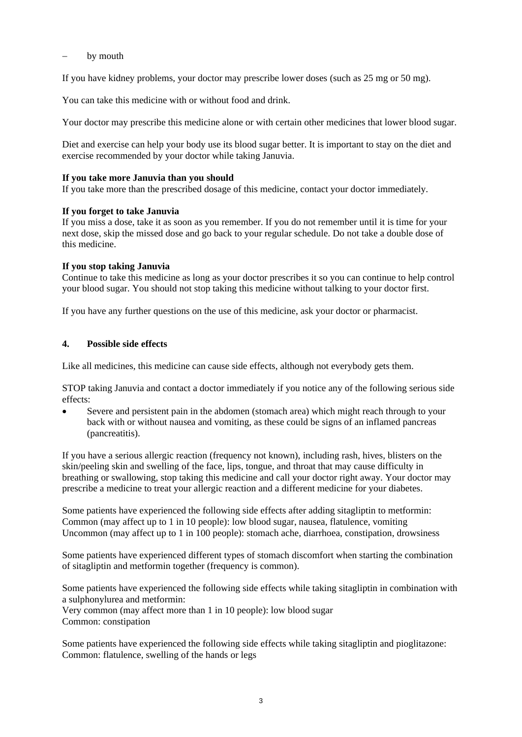## by mouth

If you have kidney problems, your doctor may prescribe lower doses (such as 25 mg or 50 mg).

You can take this medicine with or without food and drink.

Your doctor may prescribe this medicine alone or with certain other medicines that lower blood sugar.

Diet and exercise can help your body use its blood sugar better. It is important to stay on the diet and exercise recommended by your doctor while taking Januvia.

## **If you take more Januvia than you should**

If you take more than the prescribed dosage of this medicine, contact your doctor immediately.

# **If you forget to take Januvia**

If you miss a dose, take it as soon as you remember. If you do not remember until it is time for your next dose, skip the missed dose and go back to your regular schedule. Do not take a double dose of this medicine.

# **If you stop taking Januvia**

Continue to take this medicine as long as your doctor prescribes it so you can continue to help control your blood sugar. You should not stop taking this medicine without talking to your doctor first.

If you have any further questions on the use of this medicine, ask your doctor or pharmacist.

# **4. Possible side effects**

Like all medicines, this medicine can cause side effects, although not everybody gets them.

STOP taking Januvia and contact a doctor immediately if you notice any of the following serious side effects:

Severe and persistent pain in the abdomen (stomach area) which might reach through to your back with or without nausea and vomiting, as these could be signs of an inflamed pancreas (pancreatitis).

If you have a serious allergic reaction (frequency not known), including rash, hives, blisters on the skin/peeling skin and swelling of the face, lips, tongue, and throat that may cause difficulty in breathing or swallowing, stop taking this medicine and call your doctor right away. Your doctor may prescribe a medicine to treat your allergic reaction and a different medicine for your diabetes.

Some patients have experienced the following side effects after adding sitagliptin to metformin: Common (may affect up to 1 in 10 people): low blood sugar, nausea, flatulence, vomiting Uncommon (may affect up to 1 in 100 people): stomach ache, diarrhoea, constipation, drowsiness

Some patients have experienced different types of stomach discomfort when starting the combination of sitagliptin and metformin together (frequency is common).

Some patients have experienced the following side effects while taking sitagliptin in combination with a sulphonylurea and metformin:

Very common (may affect more than 1 in 10 people): low blood sugar Common: constipation

Some patients have experienced the following side effects while taking sitagliptin and pioglitazone: Common: flatulence, swelling of the hands or legs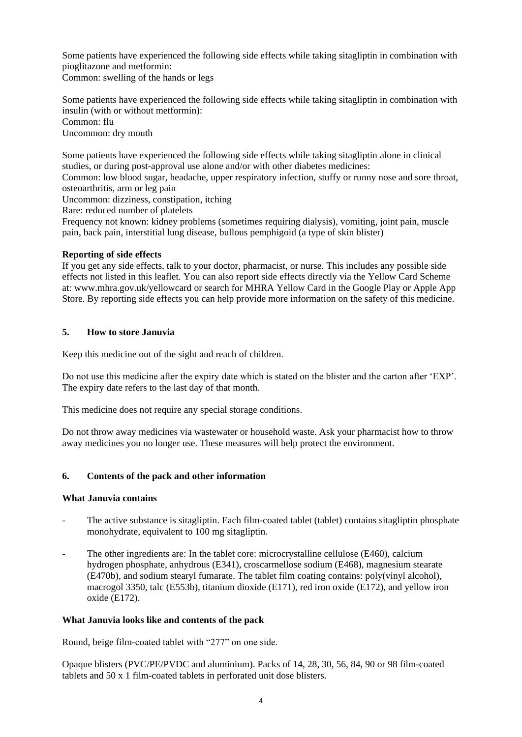Some patients have experienced the following side effects while taking sitagliptin in combination with pioglitazone and metformin:

Common: swelling of the hands or legs

Some patients have experienced the following side effects while taking sitagliptin in combination with insulin (with or without metformin): Common: flu Uncommon: dry mouth

Some patients have experienced the following side effects while taking sitagliptin alone in clinical studies, or during post-approval use alone and/or with other diabetes medicines:

Common: low blood sugar, headache, upper respiratory infection, stuffy or runny nose and sore throat, osteoarthritis, arm or leg pain

Uncommon: dizziness, constipation, itching

Rare: reduced number of platelets

Frequency not known: kidney problems (sometimes requiring dialysis), vomiting, joint pain, muscle pain, back pain, interstitial lung disease, bullous pemphigoid (a type of skin blister)

# **Reporting of side effects**

If you get any side effects, talk to your doctor, pharmacist, or nurse. This includes any possible side effects not listed in this leaflet. You can also report side effects directly via the Yellow Card Scheme at: [www.mhra.gov.uk/yellowcard](http://www.mhra.gov.uk/yellowcard) or search for MHRA Yellow Card in the Google Play or Apple App Store. By reporting side effects you can help provide more information on the safety of this medicine.

# **5. How to store Januvia**

Keep this medicine out of the sight and reach of children.

Do not use this medicine after the expiry date which is stated on the blister and the carton after 'EXP'. The expiry date refers to the last day of that month.

This medicine does not require any special storage conditions.

Do not throw away medicines via wastewater or household waste. Ask your pharmacist how to throw away medicines you no longer use. These measures will help protect the environment.

# **6. Contents of the pack and other information**

## **What Januvia contains**

- The active substance is sitagliptin. Each film-coated tablet (tablet) contains sitagliptin phosphate monohydrate, equivalent to 100 mg sitagliptin.
- The other ingredients are: In the tablet core: microcrystalline cellulose (E460), calcium hydrogen phosphate, anhydrous (E341), croscarmellose sodium (E468), magnesium stearate (E470b), and sodium stearyl fumarate. The tablet film coating contains: poly(vinyl alcohol), macrogol 3350, talc (E553b), titanium dioxide (E171), red iron oxide (E172), and yellow iron oxide (E172).

## **What Januvia looks like and contents of the pack**

Round, beige film-coated tablet with "277" on one side.

Opaque blisters (PVC/PE/PVDC and aluminium). Packs of 14, 28, 30, 56, 84, 90 or 98 film-coated tablets and 50 x 1 film-coated tablets in perforated unit dose blisters.